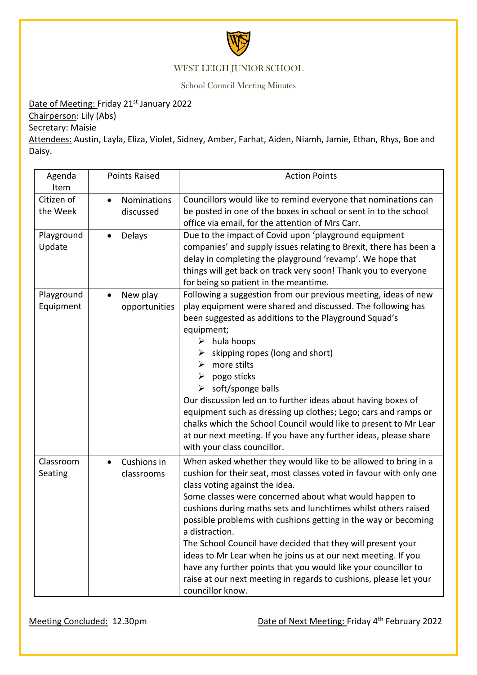

## WEST LEIGH JUNIOR SCHOOL

School Council Meeting Minutes

## Date of Meeting: Friday 21<sup>st</sup> January 2022

Chairperson: Lily (Abs)

Secretary: Maisie

Attendees: Austin, Layla, Eliza, Violet, Sidney, Amber, Farhat, Aiden, Niamh, Jamie, Ethan, Rhys, Boe and Daisy.

| Agenda<br>Item          | <b>Points Raised</b>                  | <b>Action Points</b>                                                                                                                                                                                                                                                                                                                                                                                                                                                                                                                                                                                                                                                              |
|-------------------------|---------------------------------------|-----------------------------------------------------------------------------------------------------------------------------------------------------------------------------------------------------------------------------------------------------------------------------------------------------------------------------------------------------------------------------------------------------------------------------------------------------------------------------------------------------------------------------------------------------------------------------------------------------------------------------------------------------------------------------------|
| Citizen of<br>the Week  | Nominations<br>$\bullet$<br>discussed | Councillors would like to remind everyone that nominations can<br>be posted in one of the boxes in school or sent in to the school<br>office via email, for the attention of Mrs Carr.                                                                                                                                                                                                                                                                                                                                                                                                                                                                                            |
| Playground<br>Update    | Delays                                | Due to the impact of Covid upon 'playground equipment<br>companies' and supply issues relating to Brexit, there has been a<br>delay in completing the playground 'revamp'. We hope that<br>things will get back on track very soon! Thank you to everyone<br>for being so patient in the meantime.                                                                                                                                                                                                                                                                                                                                                                                |
| Playground<br>Equipment | New play<br>opportunities             | Following a suggestion from our previous meeting, ideas of new<br>play equipment were shared and discussed. The following has<br>been suggested as additions to the Playground Squad's<br>equipment;<br>hula hoops<br>➤<br>skipping ropes (long and short)<br>more stilts<br>➤<br>pogo sticks<br>➤<br>soft/sponge balls<br>$\blacktriangleright$<br>Our discussion led on to further ideas about having boxes of<br>equipment such as dressing up clothes; Lego; cars and ramps or<br>chalks which the School Council would like to present to Mr Lear<br>at our next meeting. If you have any further ideas, please share<br>with your class councillor.                         |
| Classroom<br>Seating    | Cushions in<br>classrooms             | When asked whether they would like to be allowed to bring in a<br>cushion for their seat, most classes voted in favour with only one<br>class voting against the idea.<br>Some classes were concerned about what would happen to<br>cushions during maths sets and lunchtimes whilst others raised<br>possible problems with cushions getting in the way or becoming<br>a distraction.<br>The School Council have decided that they will present your<br>ideas to Mr Lear when he joins us at our next meeting. If you<br>have any further points that you would like your councillor to<br>raise at our next meeting in regards to cushions, please let your<br>councillor know. |

Meeting Concluded: 12.30pm **Date of Next Meeting: Friday 4<sup>th</sup> February 2022**